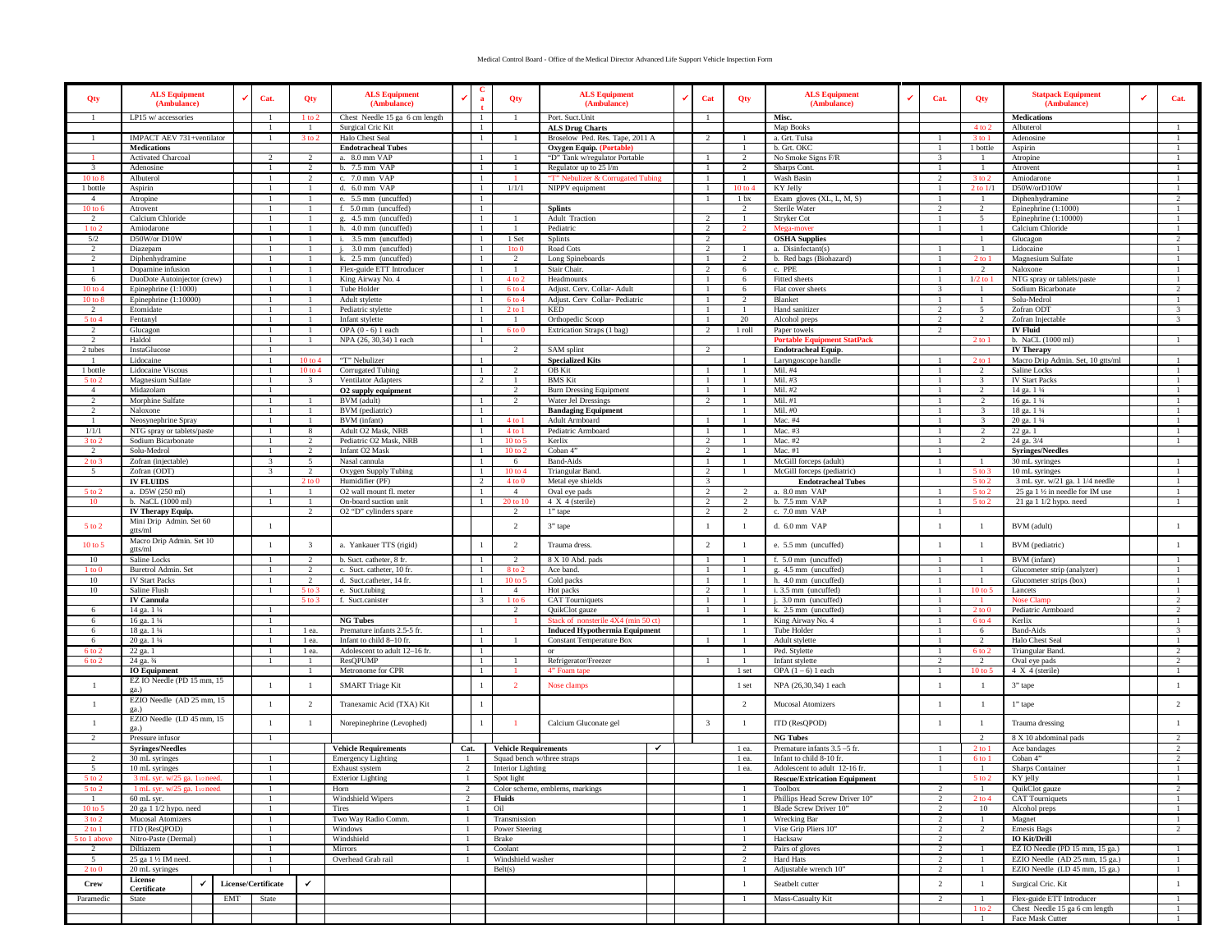## Medical Control Board - Office of the Medical Director Advanced Life Support Vehicle Inspection Form

| Qty                            | <b>ALS Equipment</b><br>(Ambulance)                            |                     | Cat.                           | Qty                                      | <b>ALS Equipment</b><br>(Ambulance)                   |                | a                            | Qty                              | <b>ALS Equipment</b><br>(Ambulance)                                     | Cat                                     | Qty                            | <b>ALS Equipment</b><br>(Ambulance)                    | Cat.                            | Qty                              | <b>Statpack Equipment</b><br>(Ambulance)                         | Cat.                           |
|--------------------------------|----------------------------------------------------------------|---------------------|--------------------------------|------------------------------------------|-------------------------------------------------------|----------------|------------------------------|----------------------------------|-------------------------------------------------------------------------|-----------------------------------------|--------------------------------|--------------------------------------------------------|---------------------------------|----------------------------------|------------------------------------------------------------------|--------------------------------|
|                                | LP15 w/ accessories                                            |                     | $\mathbf{1}$                   | $1$ to $2$                               | Chest Needle 15 ga 6 cm length                        |                | -1                           |                                  | Port. Suct. Unit                                                        | -1                                      |                                | Misc.                                                  |                                 |                                  | Medications                                                      |                                |
|                                | IMPACT AEV 731+ventilator                                      |                     |                                | 3 to 2                                   | Surgical Cric Kit<br>Halo Chest Seal                  |                | -1                           |                                  | <b>ALS Drug Charts</b><br>Broselow Ped. Res. Tape, 2011 A               | $\overline{2}$                          |                                | Map Books<br>a. Grt. Tulsa                             |                                 | $4$ to $2$<br>3 to 1             | Albuterol<br>Adenosine                                           |                                |
|                                | <b>Medications</b>                                             |                     |                                |                                          | <b>Endotracheal Tubes</b>                             |                |                              |                                  | <b>Oxygen Equip.</b> (Portable)                                         |                                         |                                | b. Grt. OKC                                            |                                 | 1 bottle                         | Aspirin                                                          |                                |
|                                | <b>Activated Charcoal</b>                                      |                     |                                | $\overline{2}$                           | a. 8.0 mm VAP                                         |                |                              |                                  | "D" Tank w/regulator Portable                                           |                                         |                                | No Smoke Signs F/R                                     |                                 |                                  | Atropine                                                         |                                |
|                                | Adenosine                                                      |                     |                                | $\overline{2}$                           | b. 7.5 mm VAP                                         |                | $\mathbf{1}$                 |                                  | Regulator up to 25 l/m                                                  | $\overline{1}$                          |                                | Sharps Cont.                                           |                                 | $\overline{1}$                   | Atrovent                                                         |                                |
| 10 to 8                        | Albuterol                                                      |                     |                                | $\overline{2}$                           | c. 7.0 mm VAP                                         |                |                              |                                  | "T" Nebulizer & Corrugated Tubing                                       | $\overline{1}$                          |                                | Wash Basin                                             |                                 | $3$ to $2$                       | Amiodarone                                                       |                                |
| 1 bottle<br>-4                 | Aspirin                                                        |                     |                                | -1                                       | d. 6.0 mm VAP<br>e. 5.5 mm (uncuffed)                 |                | -1                           | 1/1/1                            | NIPPV equipment                                                         | $\overline{1}$<br>-1                    | $10$ to $4$<br>1 <sub>bx</sub> | KY Jelly<br>Exam gloves (XL, L, M, S)                  |                                 | $2$ to $1/1$<br>-1.              | D50W/orD10W<br>Diphenhydramine                                   | $\mathfrak{D}$                 |
| $10$ to $6$                    | Atropine<br>Atrovent                                           |                     |                                |                                          | f. 5.0 mm (uncuffed)                                  |                | -1                           |                                  | <b>Splints</b>                                                          |                                         | 2                              | Sterile Water                                          |                                 | $\overline{2}$                   | Epinephrine (1:1000)                                             |                                |
| $\mathcal{D}$                  | Calcium Chloride                                               |                     |                                |                                          | g. 4.5 mm (uncuffed)                                  |                | $\mathbf{1}$                 |                                  | <b>Adult Traction</b>                                                   | 2                                       |                                | Stryker Cot                                            |                                 | $\sim$                           | Epinephrine $(1:10000)$                                          |                                |
| $1$ to $\degree$               | Amiodarone                                                     |                     |                                |                                          | h. 4.0 mm (uncuffed)                                  |                | $\mathbf{1}$                 |                                  | Pediatric                                                               | <sup>2</sup>                            |                                | Mega-move                                              |                                 |                                  | Calcium Chloride                                                 |                                |
| 5/2                            | D50W/or D10W                                                   |                     |                                |                                          | i. 3.5 mm (uncuffed)                                  |                | $\mathbf{1}$                 | 1 Set                            | Splints                                                                 | $\overline{2}$                          |                                | <b>OSHA Supplies</b>                                   |                                 |                                  | Glucagon                                                         |                                |
|                                | Diazepam                                                       |                     |                                |                                          | 3.0 mm (uncuffed)                                     |                |                              | Ito <sub>0</sub>                 | Road Cots                                                               | 2                                       |                                | a. Disinfectant(s)                                     |                                 |                                  | Lidocaine                                                        |                                |
| $\mathcal{L}$                  | Diphenhydramine                                                |                     |                                | -1                                       | k. 2.5 mm (uncuffed)                                  |                | $\mathbf{1}$                 | -2                               | Long Spineboards                                                        | -1                                      |                                | b. Red bags (Biohazard)                                |                                 | $2$ to 1                         | Magnesium Sulfate                                                |                                |
| 6                              | Dopamine infusion<br>DuoDote Autoinjector (crew)               |                     |                                |                                          | Flex-guide ETT Introducer<br>King Airway No. 4        |                | -1<br>$\mathbf{1}$           | $4$ to                           | Stair Chair.<br>Headmounts                                              | $\overline{2}$                          | -6                             | c. PPE<br>Fitted sheets                                |                                 | 2<br>$1/2$ to                    | Naloxone<br>NTG spray or tablets/paste                           |                                |
| $10 \text{ to } 4$             | Epinephrine $(1:1000)$                                         |                     |                                |                                          | Tube Holder                                           |                | -1                           | 6 to 4                           | Adjust. Cerv. Collar- Adult                                             | $\overline{1}$                          | 6                              | Flat cover sheets                                      |                                 |                                  | Sodium Bicarbonate                                               | <sup>2</sup>                   |
| 10 to 8                        | Epinephrine (1:10000)                                          |                     |                                |                                          | Adult stylette                                        |                | $\mathbf{1}$                 | $6$ to $4$                       | Adjust. Cerv Collar-Pediatric                                           | $\overline{1}$                          |                                | Blanket                                                |                                 |                                  | Solu-Medrol                                                      |                                |
|                                | Etomidate                                                      |                     |                                |                                          | Pediatric stylette                                    |                |                              | 2 to 1                           | KED                                                                     | $\overline{1}$                          |                                | Hand sanitizer                                         |                                 | 5                                | Zofran ODT                                                       | $\overline{\mathbf{3}}$        |
| $5$ to $4$                     | Fentanyl                                                       |                     |                                | -1                                       | Infant stylette                                       |                | -1                           | -1                               | Orthopedic Scoop                                                        | -1                                      | 20                             | Alcohol preps                                          | $\overline{2}$                  | 2                                | Zofran Injectable                                                | $\overline{\mathbf{3}}$        |
| -2                             | Glucagon                                                       |                     |                                |                                          | OPA $(0 - 6)$ 1 each                                  |                | -1<br>$\mathbf{1}$           | $6$ to $0$                       | Extrication Straps (1 bag)                                              | $\overline{2}$                          | 1 roll                         | Paper towels<br><b>Portable Equip</b><br>nent StatPack | $\mathcal{L}$                   |                                  | <b>IV Fluid</b>                                                  |                                |
| 2 tubes                        | Haldol<br>InstaGlucose                                         |                     | -1                             |                                          | NPA (26, 30,34) 1 each                                |                |                              | $\mathcal{D}$                    | SAM splint                                                              | <sup>2</sup>                            |                                | <b>Endotracheal Equip.</b>                             |                                 | $2$ to $1$                       | b. NaCL (1000 ml)<br><b>IV Therapy</b>                           |                                |
|                                | Lidocaine                                                      |                     |                                | $10$ to $4$                              | "T" Nebulizer                                         |                | $\mathbf{1}$                 |                                  | <b>Specialized Kits</b>                                                 |                                         |                                | Laryngoscope handle                                    |                                 | $2$ to $1$                       | Macro Drip Admin. Set, 10 gtts/ml                                |                                |
| 1 bottle                       | Lidocaine Viscous                                              |                     |                                | $10$ to $4$                              | Corrugated Tubing                                     |                |                              |                                  | OB Kit                                                                  |                                         |                                | Mil. #4                                                |                                 |                                  | Saline Locks                                                     |                                |
| 5 to 2                         | Magnesium Sulfate                                              |                     |                                | -3                                       | Ventilator Adapters                                   |                | $\mathcal{D}$                | -1                               | <b>BMS</b> Kit                                                          | -1                                      |                                | Mil. #3                                                |                                 | 3                                | <b>IV Start Packs</b>                                            | -1                             |
| $\overline{4}$                 | Midazolam                                                      |                     |                                |                                          | O2 supply equipment                                   |                |                              | $\overline{2}$                   | <b>Burn Dressing Equipment</b>                                          | -1                                      |                                | Mil. #2                                                |                                 | $\overline{2}$                   | 14 ga. 1 1⁄4                                                     |                                |
| $\mathcal{D}$<br>$\mathcal{D}$ | Morphine Sulfate                                               |                     | $\mathbf{1}$                   |                                          | BVM (adult)                                           |                | $\mathbf{1}$<br>$\mathbf{1}$ | $\mathcal{D}$                    | Water Jel Dressings                                                     | $\overline{2}$                          |                                | Mil. #1<br>Mil. #0                                     |                                 | $\mathcal{D}$<br>$\mathcal{R}$   | 16 ga. 1 1/4                                                     |                                |
|                                | Naloxone<br>Neosynephrine Spray                                |                     |                                | - 1                                      | BVM (pediatric)<br>BVM (infant)                       |                | $\mathbf{1}$                 | $4$ to $1$                       | <b>Bandaging Equipment</b><br>Adult Armboard                            | $\overline{1}$                          |                                | Mac. #4                                                |                                 | $\mathbf{3}$                     | 18 ga. 1 1/4<br>20 ga. 1 1/4                                     |                                |
| 1/1/1                          | NTG spray or tablets/paste                                     |                     |                                | 8                                        | Adult O2 Mask, NRB                                    |                |                              | $4$ to $1$                       | Pediatric Armboard                                                      | -1                                      |                                | Mac. #3                                                |                                 |                                  | 22 ga. 1                                                         |                                |
| 3 to 2                         | Sodium Bicarbonate                                             |                     | -1                             | 2                                        | Pediatric O2 Mask, NRB                                |                | -1                           | $10 \text{ to } 5$               | Kerlix                                                                  | $\overline{2}$                          |                                | Mac. #2                                                | - 1                             | -2                               | 24 ga. 3/4                                                       | -1                             |
| -2                             | Solu-Medrol                                                    |                     |                                | <sup>2</sup>                             | Infant O2 Mask                                        |                | -1                           | 10 to 2                          | Coban 4"                                                                | $\overline{2}$                          |                                | Mac. #1                                                |                                 |                                  | <b>Syringes/Needles</b>                                          |                                |
| $2 \text{ to } 3$              | Zofran (injectable)                                            |                     |                                | $\sim$                                   | Nasal cannula                                         |                | $\overline{1}$               | -6                               | <b>Band-Aids</b>                                                        |                                         |                                | McGill forceps (adult)                                 |                                 |                                  | 30 mL syringes                                                   |                                |
| $\sim$                         | Zofran (ODT)                                                   |                     | $\mathbf{3}$                   | $\mathcal{D}$<br>$2$ to $0$              | Oxygen Supply Tubing<br>Humidifier (PF)               |                | -1<br>2                      | $10 \text{ to } 4$<br>$4$ to $0$ | Triangular Band.                                                        | <sup>2</sup><br>$\overline{\mathbf{3}}$ |                                | McGill forceps (pediatric)                             |                                 | $5$ to $3$<br>$5$ to $2$         | 10 mL syringes<br>3 mL syr. w/21 ga. 1 1/4 needle                | $\overline{1}$                 |
| 5 to 1                         | <b>IV FLUIDS</b><br>a. D5W (250 ml)                            |                     |                                |                                          | O2 wall mount fl. meter                               |                |                              | $\overline{4}$                   | Metal eye shields<br>Oval eye pads                                      | 2                                       |                                | <b>Endotracheal Tubes</b><br>a. 8.0 mm VAP             |                                 | $5$ to $2$                       | 25 ga 1 1/2 in needle for IM use                                 |                                |
| -10-                           | b. NaCL (1000 ml)                                              |                     |                                | -1                                       | On-board suction unit                                 |                | -1                           | 20 to 10                         | 4 X 4 (sterile)                                                         | $\overline{2}$                          | 2                              | b. 7.5 mm VAP                                          |                                 | 5 to 2                           | 21 ga 1 1/2 hypo. need                                           | -1                             |
|                                | IV Therapy Equip.                                              |                     |                                | $\overline{2}$                           | O2 "D" cylinders spare                                |                |                              | 2                                | 1" tape                                                                 | $\overline{2}$                          | 2                              | c. 7.0 mm VAP                                          |                                 |                                  |                                                                  |                                |
| $5$ to $2$                     | Mini Drip Admin. Set 60<br>gtts/ml                             |                     | $\mathbf{1}$                   |                                          |                                                       |                |                              | 2                                | 3" tape                                                                 | -1                                      | -1                             | d. 6.0 mm VAP                                          | $\overline{1}$                  | - 1                              | BVM (adult)                                                      |                                |
| 10 to 5                        | Macro Drip Admin. Set 10<br>gtts/ml                            |                     | $\overline{1}$                 | $\overline{\mathbf{3}}$<br>$\mathcal{D}$ | a. Yankauer TTS (rigid)                               |                |                              | $\overline{2}$                   | Trauma dress.                                                           | $\overline{2}$                          |                                | e. 5.5 mm (uncuffed)                                   |                                 | $\overline{1}$                   | BVM (pediatric)                                                  |                                |
| 10<br>$1$ to $0$               | Saline Locks<br>Buretrol Admin. Set                            |                     |                                | $\overline{2}$                           | b. Suct. catheter, 8 fr.<br>c. Suct. catheter, 10 fr. |                | $\mathbf{1}$                 | $\overline{2}$<br>8 to 2         | 8 X 10 Abd. pads<br>Ace band.                                           | $\overline{1}$<br>$\overline{1}$        |                                | f. 5.0 mm (uncuffed)<br>g. 4.5 mm (uncuffed)           |                                 |                                  | BVM (infant)<br>Glucometer strip (analyzer)                      |                                |
| 10                             | <b>IV Start Packs</b>                                          |                     |                                | $\overline{2}$                           | d. Suct.catheter, 14 fr.                              |                |                              | 10 to :                          | Cold packs                                                              | -1                                      |                                | h. 4.0 mm (uncuffed)                                   |                                 | -1                               | Glucometer strips (box)                                          |                                |
| 10                             | Saline Flush                                                   |                     |                                | 5 to 3                                   | e. Suct.tubing                                        |                | - 1                          | $\overline{4}$                   | Hot packs                                                               | 2                                       |                                | i. 3.5 mm (uncuffed)                                   |                                 | $10$ to $5$                      | Lancets                                                          |                                |
|                                | <b>IV Cannula</b>                                              |                     |                                | $5$ to $3$                               | f. Suct.canister                                      |                | 3                            | $1$ to $6$                       | <b>CAT Tourniquets</b>                                                  | - 1                                     |                                | j. 3.0 mm (uncuffed)                                   |                                 |                                  | Nose Clam                                                        | 2                              |
| -6                             | 14 ga. 1 1/4                                                   |                     |                                |                                          |                                                       |                |                              | $\mathcal{D}$                    | QuikClot gauze                                                          |                                         |                                | k. 2.5 mm (uncuffed)                                   |                                 | $2$ to $1$                       | Pediatric Armboard                                               |                                |
| -6<br>-6                       | 16 ga. 1 1/4                                                   |                     |                                |                                          | <b>NG Tubes</b><br>Premature infants 2.5-5 fr.        |                | -1                           |                                  | Stack of nonsterile 4X4 (min 50 ct)                                     |                                         |                                | King Airway No. 4                                      |                                 | 6 to 4                           | Kerlix<br><b>Band-Aids</b>                                       | $\mathbf{3}$                   |
| -6                             | 18 ga. 1 1/4<br>20 ga. 1 1/4                                   |                     |                                | 1 ea.<br>1 ea.                           | Infant to child 8-10 fr.                              |                |                              |                                  | <b>Induced Hypothermia Equipment</b><br><b>Constant Temperature Box</b> |                                         |                                | Tube Holder<br>Adult stylette                          |                                 | 6<br>$\overline{2}$              | Halo Chest Seal                                                  |                                |
| 6 to 2                         | 22 ga. 1                                                       |                     |                                | 1 ea.                                    | Adolescent to adult 12-16 fr.                         |                | -1                           |                                  | or                                                                      |                                         |                                | Ped. Stylette                                          |                                 | $6$ to 2                         | <b>Triangular Band</b>                                           | $\mathcal{L}$                  |
| 6 to 2                         | 24 ga. 3/4                                                     |                     | -1                             | -1                                       | ResQPUMP                                              |                | -1                           |                                  | Refrigerator/Freezer                                                    |                                         |                                | Infant stylette                                        | $\mathcal{L}$                   | 2                                | Oval eye pads                                                    | 2                              |
|                                | <b>IO</b> Equipment                                            |                     |                                |                                          | Metronome for CPR                                     |                | $\mathbf{1}$                 |                                  | 4" Foam t                                                               |                                         | 1 set                          | OPA $(1 - 6)$ 1 each                                   |                                 | 10 <sub>to</sub>                 | 4 X 4 (sterile)                                                  |                                |
| $\mathbf{1}$                   | EZ IO Needle (PD 15 mm, 15<br>ga.)                             |                     | $\overline{1}$                 | $\mathbf{1}$                             | <b>SMART</b> Triage Kit                               |                |                              | $\overline{2}$                   | Nose clamps                                                             |                                         | 1 set                          | NPA (26,30,34) 1 each                                  | -1                              | $\overline{1}$                   | 3" tape                                                          | $\mathbf{1}$                   |
| $\overline{1}$                 | EZIO Needle (AD 25 mm, 15<br>ga.)<br>EZIO Needle (LD 45 mm, 15 |                     | $\mathbf{1}$                   | $\overline{2}$                           | Tranexamic Acid (TXA) Kit                             |                | $\mathbf{1}$                 |                                  |                                                                         |                                         | $\overline{2}$                 | Mucosal Atomizers                                      | -1                              | $\overline{1}$                   | 1" tape                                                          | $\overline{2}$                 |
|                                | ga.)<br>Pressure infusor                                       |                     | $\overline{1}$<br>-1           | -1                                       | Norepinephrine (Levophed)                             |                | $\mathbf{1}$                 | - 1                              | Calcium Gluconate gel                                                   | $\overline{\mathbf{3}}$                 | $\mathbf{1}$                   | ITD (ResQPOD)<br><b>NG Tubes</b>                       | -1                              | $\overline{1}$<br>$\overline{2}$ | Trauma dressing<br>8 X 10 abdominal pads                         | -1                             |
|                                | <b>Syringes/Needles</b>                                        |                     |                                |                                          | <b>Vehicle Requirements</b>                           | Cat.           |                              | <b>Vehicle Requirements</b>      | $\checkmark$                                                            |                                         | 1 ea.                          | Premature infants 3.5 -5 fr.                           |                                 | $2$ to $1$                       | Ace bandages                                                     | $\overline{2}$                 |
|                                | 30 mL syringes                                                 |                     |                                |                                          | <b>Emergency Lighting</b>                             | -1-            |                              | Squad bench w/three straps       |                                                                         |                                         | 1 ea.                          | Infant to child 8-10 fr.                               |                                 | 6 to 1                           | Coban 4"                                                         | $\overline{2}$                 |
| -5                             | 10 mL syringes                                                 |                     |                                |                                          | Exhaust system                                        | -2             |                              | Interior Lighting                |                                                                         |                                         | 1 ea.                          | Adolescent to adult 12-16 fr.                          |                                 | -1                               | Sharps Container                                                 |                                |
|                                | $3 \text{ m}$ . svi                                            |                     |                                |                                          | Exterior Lighting                                     |                |                              | Spot light                       |                                                                         |                                         |                                | <b>Rescue/Extrication Equipment</b>                    |                                 |                                  | KY jelly                                                         |                                |
| $5$ to $2$                     | 1 mL syr. w/25 ga. 112 need.<br>60 mL syr.                     |                     | $\overline{1}$<br>$\mathbf{1}$ |                                          | Horn<br>Windshield Wipers                             | $\overline{2}$ |                              | Fluids                           | Color scheme, emblems, markings                                         |                                         |                                | Toolbox<br>Phillips Head Screw Driver 10"              | $\mathcal{D}$<br>$\mathcal{D}$  | $\overline{1}$<br>$2$ to $4$     | QuikClot gauze<br><b>CAT</b> Tourniquets                         | $\overline{2}$<br>$\mathbf{1}$ |
| 10 to 5                        | 20 ga 1 1/2 hypo. need                                         |                     |                                |                                          | Tires                                                 | -1             |                              | Oil                              |                                                                         |                                         |                                | Blade Screw Driver 10"                                 | $\overline{2}$                  | 10                               | Alcohol preps                                                    | $\mathbf{1}$                   |
| $3$ to $2$                     | Mucosal Atomizers                                              |                     | -1                             |                                          | Two Way Radio Comm.                                   | - 1            |                              | Transmission                     |                                                                         |                                         |                                | Wrecking Bar                                           | 2                               | - 1                              | Magnet                                                           | $\mathbf{1}$                   |
| $2$ to $1$                     | ITD (ResQPOD)                                                  |                     | -1                             |                                          | Windows                                               | - 1            |                              | Power Steering                   |                                                                         |                                         |                                | Vise Grip Pliers 10"                                   | $\overline{2}$                  | <sup>2</sup>                     | <b>Emesis Bags</b>                                               | 2                              |
| 5 to 1 above                   | Nitro-Paste (Dermal)                                           |                     | $\overline{1}$                 |                                          | Windshield                                            | $\overline{1}$ |                              | Brake                            |                                                                         |                                         |                                | Hacksaw                                                | 2                               |                                  | <b>IO Kit/Drill</b>                                              |                                |
| $\mathcal{D}$                  | Diltiazem                                                      |                     | $\overline{1}$                 |                                          | Mirrors                                               | $\overline{1}$ |                              | Coolant                          |                                                                         |                                         | $\mathcal{D}$                  | Pairs of gloves                                        | $\overline{2}$                  | -1                               | EZ IO Needle (PD 15 mm, 15 ga.)                                  | $\overline{1}$                 |
| 5<br>$2 \text{ to } 0$         | 25 ga 1 1/2 IM need.<br>20 mL syringes                         |                     | -1                             |                                          | Overhead Grab rail                                    |                |                              | Windshield washer<br>Belt(s)     |                                                                         |                                         |                                | Hard Hats<br>Adjustable wrench 10"                     | $\mathcal{D}$<br>$\overline{2}$ | -1                               | EZIO Needle (AD 25 mm, 15 ga.)<br>EZIO Needle (LD 45 mm, 15 ga.) | -1<br>$\mathbf{1}$             |
| <b>Crew</b>                    | License<br>Certificate                                         | License/Certificate |                                | ✓                                        |                                                       |                |                              |                                  |                                                                         |                                         | $\overline{1}$                 | Seatbelt cutter                                        | $\overline{2}$                  | $\mathbf{1}$                     | Surgical Cric. Kit                                               | $\mathbf{1}$                   |
| Paramedic                      | State                                                          | EMT                 | State                          |                                          |                                                       |                |                              |                                  |                                                                         |                                         |                                | Mass-Casualty Kit                                      | 2                               |                                  | Flex-guide ETT Introducer                                        | $\mathbf{1}$                   |
|                                |                                                                |                     |                                |                                          |                                                       |                |                              |                                  |                                                                         |                                         |                                |                                                        |                                 |                                  | Chest Needle 15 ga 6 cm length                                   |                                |
|                                |                                                                |                     |                                |                                          |                                                       |                |                              |                                  |                                                                         |                                         |                                |                                                        |                                 |                                  | Face Mask Cutter                                                 |                                |